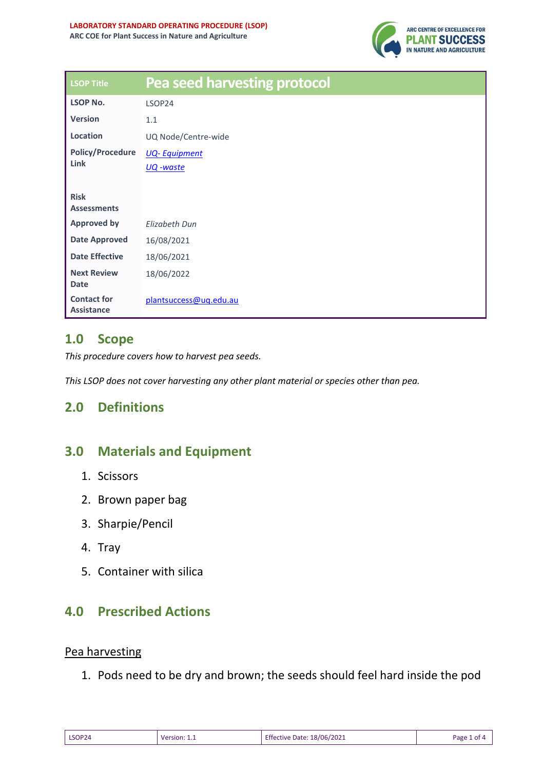

| <b>LSOP Title</b>                       | <b>Pea seed harvesting protocol</b> |  |  |  |
|-----------------------------------------|-------------------------------------|--|--|--|
| <b>LSOP No.</b>                         | LSOP24                              |  |  |  |
| <b>Version</b>                          | 1.1                                 |  |  |  |
| Location                                | UQ Node/Centre-wide                 |  |  |  |
| <b>Policy/Procedure</b><br>Link         | <b>UQ-Equipment</b>                 |  |  |  |
|                                         | <u> UQ -waste</u>                   |  |  |  |
| <b>Risk</b><br><b>Assessments</b>       |                                     |  |  |  |
| <b>Approved by</b>                      | <b>Elizabeth Dun</b>                |  |  |  |
| <b>Date Approved</b>                    | 16/08/2021                          |  |  |  |
| <b>Date Effective</b>                   | 18/06/2021                          |  |  |  |
| <b>Next Review</b><br><b>Date</b>       | 18/06/2022                          |  |  |  |
| <b>Contact for</b><br><b>Assistance</b> | plantsuccess@uq.edu.au              |  |  |  |

### **1.0 Scope**

*This procedure covers how to harvest pea seeds.*

*This LSOP does not cover harvesting any other plant material or species other than pea.* 

## **2.0 Definitions**

### **3.0 Materials and Equipment**

- 1. Scissors
- 2. Brown paper bag
- 3. Sharpie/Pencil
- 4. Tray
- 5. Container with silica

#### **4.0 Prescribed Actions**

#### Pea harvesting

1. Pods need to be dry and brown; the seeds should feel hard inside the pod

| LSOP24 | Version: 1.1 | <b>Effective Date: 18/06/2021</b> | Page 1 of 4 |
|--------|--------------|-----------------------------------|-------------|
|--------|--------------|-----------------------------------|-------------|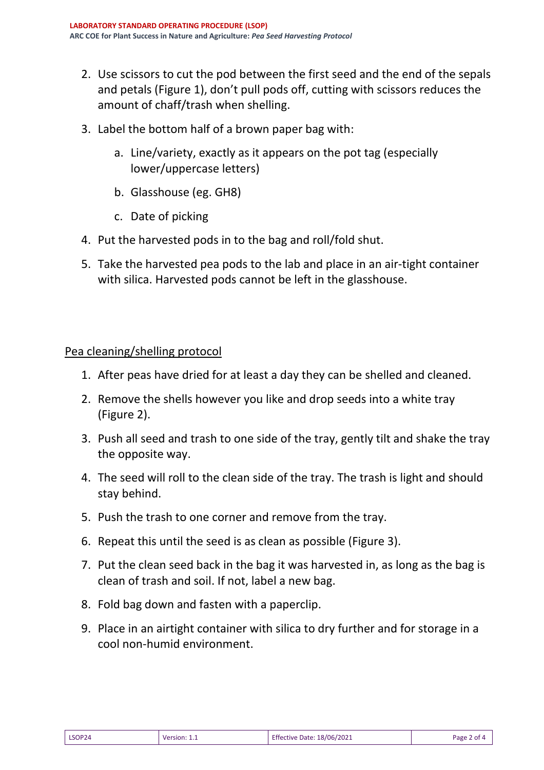- 2. Use scissors to cut the pod between the first seed and the end of the sepals and petals (Figure 1), don't pull pods off, cutting with scissors reduces the amount of chaff/trash when shelling.
- 3. Label the bottom half of a brown paper bag with:
	- a. Line/variety, exactly as it appears on the pot tag (especially lower/uppercase letters)
	- b. Glasshouse (eg. GH8)
	- c. Date of picking
- 4. Put the harvested pods in to the bag and roll/fold shut.
- 5. Take the harvested pea pods to the lab and place in an air-tight container with silica. Harvested pods cannot be left in the glasshouse.

#### Pea cleaning/shelling protocol

- 1. After peas have dried for at least a day they can be shelled and cleaned.
- 2. Remove the shells however you like and drop seeds into a white tray (Figure 2).
- 3. Push all seed and trash to one side of the tray, gently tilt and shake the tray the opposite way.
- 4. The seed will roll to the clean side of the tray. The trash is light and should stay behind.
- 5. Push the trash to one corner and remove from the tray.
- 6. Repeat this until the seed is as clean as possible (Figure 3).
- 7. Put the clean seed back in the bag it was harvested in, as long as the bag is clean of trash and soil. If not, label a new bag.
- 8. Fold bag down and fasten with a paperclip.
- 9. Place in an airtight container with silica to dry further and for storage in a cool non-humid environment.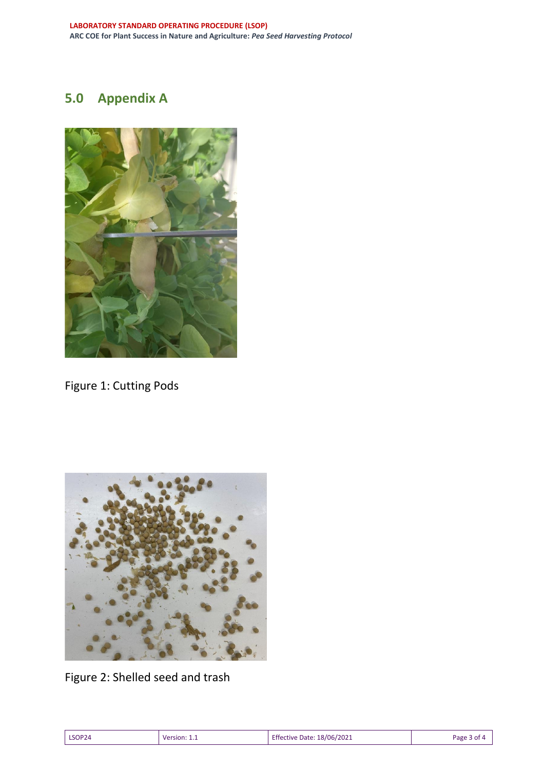# **5.0 Appendix A**



Figure 1: Cutting Pods



Figure 2: Shelled seed and trash

| LSOP24 | <b>Version: 1.1</b> | Effective Date: 18/06/2021 | Page 3 of 4 |
|--------|---------------------|----------------------------|-------------|